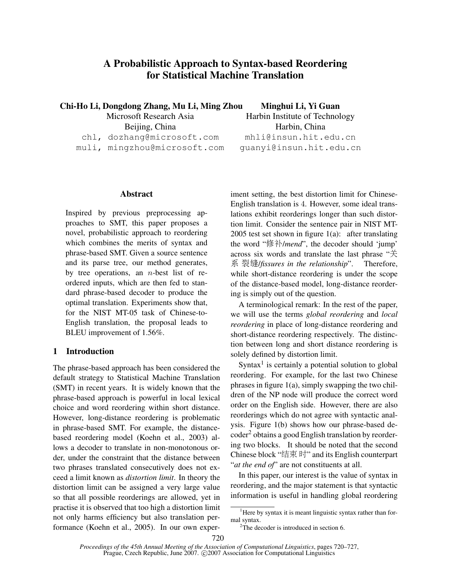# A Probabilistic Approach to Syntax-based Reordering for Statistical Machine Translation

Chi-Ho Li, Dongdong Zhang, Mu Li, Ming Zhou

Microsoft Research Asia

Beijing, China

chl, dozhang@microsoft.com

muli, mingzhou@microsoft.com

### Abstract

Inspired by previous preprocessing approaches to SMT, this paper proposes a novel, probabilistic approach to reordering which combines the merits of syntax and phrase-based SMT. Given a source sentence and its parse tree, our method generates, by tree operations, an  $n$ -best list of reordered inputs, which are then fed to standard phrase-based decoder to produce the optimal translation. Experiments show that, for the NIST MT-05 task of Chinese-to-English translation, the proposal leads to BLEU improvement of 1.56%.

# 1 Introduction

The phrase-based approach has been considered the default strategy to Statistical Machine Translation (SMT) in recent years. It is widely known that the phrase-based approach is powerful in local lexical choice and word reordering within short distance. However, long-distance reordering is problematic in phrase-based SMT. For example, the distancebased reordering model (Koehn et al., 2003) allows a decoder to translate in non-monotonous order, under the constraint that the distance between two phrases translated consecutively does not exceed a limit known as *distortion limit*. In theory the distortion limit can be assigned a very large value so that all possible reorderings are allowed, yet in practise it is observed that too high a distortion limit not only harms efficiency but also translation performance (Koehn et al., 2005). In our own experMinghui Li, Yi Guan

Harbin Institute of Technology Harbin, China mhli@insun.hit.edu.cn guanyi@insun.hit.edu.cn

iment setting, the best distortion limit for Chinese-English translation is 4. However, some ideal translations exhibit reorderings longer than such distortion limit. Consider the sentence pair in NIST MT-2005 test set shown in figure  $1(a)$ : after translating the word "修补/*mend*", the decoder should 'jump' across six words and translate the last phrase " $\ddot{\mathcal{F}}$ " 系 裂缝/*fissures in the relationship*". Therefore, while short-distance reordering is under the scope of the distance-based model, long-distance reordering is simply out of the question.

A terminological remark: In the rest of the paper, we will use the terms *global reordering* and *local reordering* in place of long-distance reordering and short-distance reordering respectively. The distinction between long and short distance reordering is solely defined by distortion limit.

Syntax<sup>1</sup> is certainly a potential solution to global reordering. For example, for the last two Chinese phrases in figure 1(a), simply swapping the two children of the NP node will produce the correct word order on the English side. However, there are also reorderings which do not agree with syntactic analysis. Figure 1(b) shows how our phrase-based decoder<sup>2</sup> obtains a good English translation by reordering two blocks. It should be noted that the second Chinese block "  $\sharp \overline{\mathcal{F}}$   $\overline{\mathcal{F}}$ " and its English counterpart "*at the end of*" are not constituents at all.

In this paper, our interest is the value of syntax in reordering, and the major statement is that syntactic information is useful in handling global reordering

<sup>&</sup>lt;sup>1</sup>Here by syntax it is meant linguistic syntax rather than formal syntax.

<sup>&</sup>lt;sup>2</sup>The decoder is introduced in section 6.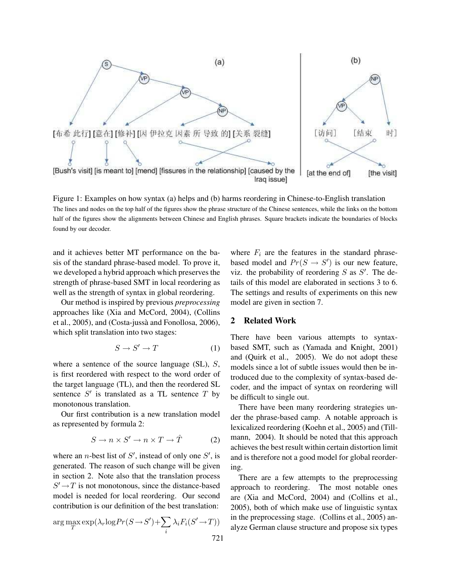

Figure 1: Examples on how syntax (a) helps and (b) harms reordering in Chinese-to-English translation The lines and nodes on the top half of the figures show the phrase structure of the Chinese sentences, while the links on the bottom half of the figures show the alignments between Chinese and English phrases. Square brackets indicate the boundaries of blocks found by our decoder.

and it achieves better MT performance on the basis of the standard phrase-based model. To prove it, we developed a hybrid approach which preserves the strength of phrase-based SMT in local reordering as well as the strength of syntax in global reordering.

Our method is inspired by previous *preprocessing* approaches like (Xia and McCord, 2004), (Collins et al., 2005), and (Costa-jussa and Fonollosa, 2006), ` which split translation into two stages:

$$
S \to S' \to T \tag{1}
$$

where a sentence of the source language (SL), S, is first reordered with respect to the word order of the target language (TL), and then the reordered SL sentence  $S'$  is translated as a TL sentence  $T$  by monotonous translation.

Our first contribution is a new translation model as represented by formula 2:

$$
S \to n \times S' \to n \times T \to \hat{T}
$$
 (2)

where an *n*-best list of  $S'$ , instead of only one  $S'$ , is generated. The reason of such change will be given in section 2. Note also that the translation process  $S' \rightarrow T$  is not monotonous, since the distance-based model is needed for local reordering. Our second contribution is our definition of the best translation:

$$
\arg\max_{T} \exp(\lambda_r \log Pr(S \to S') + \sum_i \lambda_i F_i(S' \to T))
$$
\n721

where  $F_i$  are the features in the standard phrasebased model and  $Pr(S \rightarrow S')$  is our new feature, viz. the probability of reordering  $S$  as  $S'$ . The details of this model are elaborated in sections 3 to 6. The settings and results of experiments on this new model are given in section 7.

## 2 Related Work

There have been various attempts to syntaxbased SMT, such as (Yamada and Knight, 2001) and (Quirk et al., 2005). We do not adopt these models since a lot of subtle issues would then be introduced due to the complexity of syntax-based decoder, and the impact of syntax on reordering will be difficult to single out.

There have been many reordering strategies under the phrase-based camp. A notable approach is lexicalized reordering (Koehn et al., 2005) and (Tillmann, 2004). It should be noted that this approach achieves the best result within certain distortion limit and is therefore not a good model for global reordering.

There are a few attempts to the preprocessing approach to reordering. The most notable ones are (Xia and McCord, 2004) and (Collins et al., 2005), both of which make use of linguistic syntax in the preprocessing stage. (Collins et al., 2005) analyze German clause structure and propose six types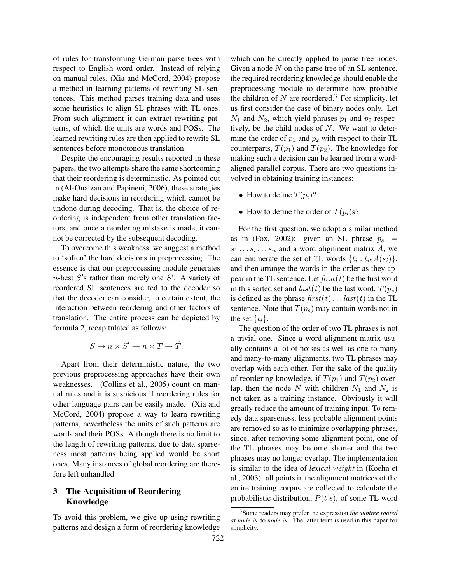of rules for transforming German parse trees with respect to English word order. Instead of relying on manual rules, (Xia and McCord, 2004) propose a method in learning patterns of rewriting SL sentences. This method parses training data and uses some heuristics to align SL phrases with TL ones. From such alignment it can extract rewriting patterns, of which the units are words and POSs. The learned rewriting rules are then applied to rewrite SL sentences before monotonous translation.

Despite the encouraging results reported in these papers, the two attempts share the same shortcoming that their reordering is deterministic. As pointed out in (Al-Onaizan and Papineni, 2006), these strategies make hard decisions in reordering which cannot be undone during decoding. That is, the choice of reordering is independent from other translation factors, and once a reordering mistake is made, it cannot be corrected by the subsequent decoding.

To overcome this weakness, we suggest a method to 'soften' the hard decisions in preprocessing. The essence is that our preprocessing module generates  $n$ -best  $S'$ s rather than merely one  $S'$ . A variety of reordered SL sentences are fed to the decoder so that the decoder can consider, to certain extent, the interaction between reordering and other factors of translation. The entire process can be depicted by formula 2, recapitulated as follows:

$$
S \to n \times S' \to n \times T \to \hat{T}.
$$

Apart from their deterministic nature, the two previous preprocessing approaches have their own weaknesses. (Collins et al., 2005) count on manual rules and it is suspicious if reordering rules for other language pairs can be easily made. (Xia and McCord, 2004) propose a way to learn rewriting patterns, nevertheless the units of such patterns are words and their POSs. Although there is no limit to the length of rewriting patterns, due to data sparseness most patterns being applied would be short ones. Many instances of global reordering are therefore left unhandled.

# 3 The Acquisition of Reordering Knowledge

To avoid this problem, we give up using rewriting patterns and design a form of reordering knowledge which can be directly applied to parse tree nodes. Given a node  $N$  on the parse tree of an SL sentence, the required reordering knowledge should enable the preprocessing module to determine how probable the children of N are reordered.<sup>3</sup> For simplicity, let us first consider the case of binary nodes only. Let  $N_1$  and  $N_2$ , which yield phrases  $p_1$  and  $p_2$  respectively, be the child nodes of  $N$ . We want to determine the order of  $p_1$  and  $p_2$  with respect to their TL counterparts,  $T(p_1)$  and  $T(p_2)$ . The knowledge for making such a decision can be learned from a wordaligned parallel corpus. There are two questions involved in obtaining training instances:

- How to define  $T(p_i)$ ?
- How to define the order of  $T(p_i)$ s?

For the first question, we adopt a similar method as in (Fox, 2002): given an SL phrase  $p_s =$  $s_1 \dots s_i \dots s_n$  and a word alignment matrix A, we can enumerate the set of TL words  $\{t_i : t_i \in A(s_i)\}\,$ and then arrange the words in the order as they appear in the TL sentence. Let  $first(t)$  be the first word in this sorted set and  $last(t)$  be the last word.  $T(p_s)$ is defined as the phrase  $first(t) \dots last(t)$  in the TL sentence. Note that  $T(p_s)$  may contain words not in the set  $\{t_i\}$ .

The question of the order of two TL phrases is not a trivial one. Since a word alignment matrix usually contains a lot of noises as well as one-to-many and many-to-many alignments, two TL phrases may overlap with each other. For the sake of the quality of reordering knowledge, if  $T(p_1)$  and  $T(p_2)$  overlap, then the node N with children  $N_1$  and  $N_2$  is not taken as a training instance. Obviously it will greatly reduce the amount of training input. To remedy data sparseness, less probable alignment points are removed so as to minimize overlapping phrases, since, after removing some alignment point, one of the TL phrases may become shorter and the two phrases may no longer overlap. The implementation is similar to the idea of *lexical weight* in (Koehn et al., 2003): all points in the alignment matrices of the entire training corpus are collected to calculate the probabilistic distribution,  $P(t|s)$ , of some TL word

<sup>3</sup> Some readers may prefer the expression *the subtree rooted at node* N to *node* N. The latter term is used in this paper for simplicity.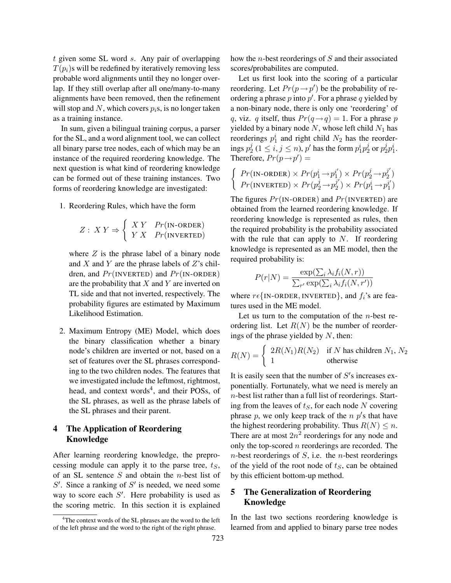t given some SL word s. Any pair of overlapping  $T(p_i)$ s will be redefined by iteratively removing less probable word alignments until they no longer overlap. If they still overlap after all one/many-to-many alignments have been removed, then the refinement will stop and N, which covers  $p_i$ s, is no longer taken as a training instance.

In sum, given a bilingual training corpus, a parser for the SL, and a word alignment tool, we can collect all binary parse tree nodes, each of which may be an instance of the required reordering knowledge. The next question is what kind of reordering knowledge can be formed out of these training instances. Two forms of reordering knowledge are investigated:

1. Reordering Rules, which have the form

$$
Z: XY \Rightarrow \begin{cases} XY & Pr(\text{IN-ORDER}) \\ YX & Pr(\text{INVERTED}) \end{cases}
$$

where  $Z$  is the phrase label of a binary node and  $X$  and  $Y$  are the phrase labels of  $Z$ 's children, and  $Pr(\text{INVERTED})$  and  $Pr(\text{IN-ORDER})$ are the probability that  $X$  and  $Y$  are inverted on TL side and that not inverted, respectively. The probability figures are estimated by Maximum Likelihood Estimation.

2. Maximum Entropy (ME) Model, which does the binary classification whether a binary node's children are inverted or not, based on a set of features over the SL phrases corresponding to the two children nodes. The features that we investigated include the leftmost, rightmost, head, and context words<sup>4</sup>, and their POSs, of the SL phrases, as well as the phrase labels of the SL phrases and their parent.

### 4 The Application of Reordering Knowledge

After learning reordering knowledge, the preprocessing module can apply it to the parse tree,  $t<sub>S</sub>$ , of an SL sentence  $S$  and obtain the *n*-best list of  $S'$ . Since a ranking of  $S'$  is needed, we need some way to score each  $S'$ . Here probability is used as the scoring metric. In this section it is explained how the n-best reorderings of S and their associated scores/probabilites are computed.

Let us first look into the scoring of a particular reordering. Let  $Pr(p \rightarrow p')$  be the probability of reordering a phrase p into p'. For a phrase q yielded by a non-binary node, there is only one 'reordering' of q, viz. q itself, thus  $Pr(q \rightarrow q) = 1$ . For a phrase p yielded by a binary node  $N$ , whose left child  $N_1$  has reorderings  $p_1^i$  and right child  $N_2$  has the reorderings  $p_2^j$  $\frac{j}{2}$   $(1 \le i, j \le n)$ , p' has the form  $p_1^i p_2^j$  $_2^j$  or  $p_2^j$  $_{2}^{j}p_{1}^{i}.$ Therefore,  $Pr(p \rightarrow p') =$  $\overline{\phantom{a}}$ 

$$
Pr(\text{IN-ORDER}) \times Pr(p_1^i \rightarrow p_1^{i'}) \times Pr(p_2^j \rightarrow p_2^{j'})
$$
  

$$
Pr(\text{INVERTED}) \times Pr(p_2^j \rightarrow p_2^{j'}) \times Pr(p_1^i \rightarrow p_1^{i'})
$$

The figures  $Pr(\text{IN-ORDER})$  and  $Pr(\text{INVERTED})$  are obtained from the learned reordering knowledge. If reordering knowledge is represented as rules, then the required probability is the probability associated with the rule that can apply to  $N$ . If reordering knowledge is represented as an ME model, then the required probability is:

$$
P(r|N) = \frac{\exp(\sum_{i} \lambda_i f_i(N,r))}{\sum_{r'} \exp(\sum_{i} \lambda_i f_i(N,r'))}
$$

where  $r \epsilon$ {IN-ORDER, INVERTED}, and  $f_i$ 's are features used in the ME model.

Let us turn to the computation of the  $n$ -best reordering list. Let  $R(N)$  be the number of reorderings of the phrase yielded by  $N$ , then:

$$
R(N) = \begin{cases} 2R(N_1)R(N_2) & \text{if } N \text{ has children } N_1, N_2 \\ 1 & \text{otherwise} \end{cases}
$$

It is easily seen that the number of  $S'$ s increases exponentially. Fortunately, what we need is merely an n-best list rather than a full list of reorderings. Starting from the leaves of  $t<sub>S</sub>$ , for each node N covering phrase p, we only keep track of the  $n p$ 's that have the highest reordering probability. Thus  $R(N) \leq n$ . There are at most  $2n^2$  reorderings for any node and only the top-scored  $n$  reorderings are recorded. The  $n$ -best reorderings of  $S$ , i.e. the  $n$ -best reorderings of the yield of the root node of  $t<sub>S</sub>$ , can be obtained by this efficient bottom-up method.

# 5 The Generalization of Reordering Knowledge

In the last two sections reordering knowledge is learned from and applied to binary parse tree nodes

<sup>&</sup>lt;sup>4</sup>The context words of the SL phrases are the word to the left of the left phrase and the word to the right of the right phrase.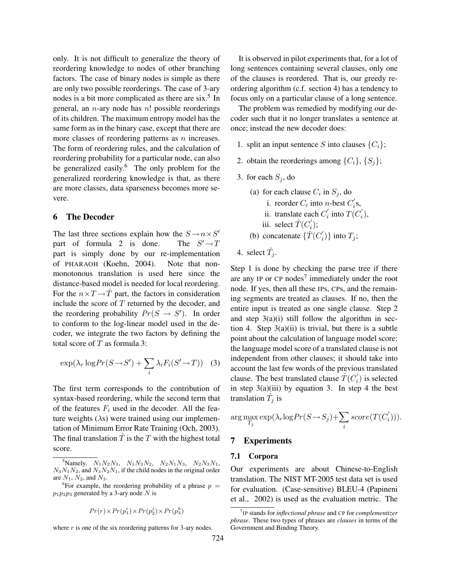only. It is not difficult to generalize the theory of reordering knowledge to nodes of other branching factors. The case of binary nodes is simple as there are only two possible reorderings. The case of 3-ary nodes is a bit more complicated as there are  $six$ <sup>5</sup>. In general, an  $n$ -ary node has  $n!$  possible reorderings of its children. The maximum entropy model has the same form as in the binary case, except that there are more classes of reordering patterns as  $n$  increases. The form of reordering rules, and the calculation of reordering probability for a particular node, can also be generalized easily.<sup>6</sup> The only problem for the generalized reordering knowledge is that, as there are more classes, data sparseness becomes more severe.

#### 6 The Decoder

The last three sections explain how the  $S \rightarrow n \times S'$ part of formula 2 is done. The  $S' \rightarrow T$ part is simply done by our re-implementation of PHARAOH (Koehn, 2004). Note that nonmonotonous translation is used here since the distance-based model is needed for local reordering. For the  $n \times T \rightarrow T$  part, the factors in consideration include the score of  $T$  returned by the decoder, and the reordering probability  $Pr(S \rightarrow S')$ . In order to conform to the log-linear model used in the decoder, we integrate the two factors by defining the total score of  $T$  as formula 3:

$$
\exp(\lambda_r \log Pr(S \to S') + \sum_i \lambda_i F_i(S' \to T)) \quad (3)
$$

The first term corresponds to the contribution of syntax-based reordering, while the second term that of the features  $F_i$  used in the decoder. All the feature weights  $(\lambda s)$  were trained using our implementation of Minimum Error Rate Training (Och, 2003). The final translation  $\hat{T}$  is the T with the highest total score.

$$
Pr(r) \times Pr(p_1^i) \times Pr(p_2^j) \times Pr(p_3^k)
$$

where  $r$  is one of the six reordering patterns for 3-ary nodes.

It is observed in pilot experiments that, for a lot of long sentences containing several clauses, only one of the clauses is reordered. That is, our greedy reordering algorithm (c.f. section 4) has a tendency to focus only on a particular clause of a long sentence.

The problem was remedied by modifying our decoder such that it no longer translates a sentence at once; instead the new decoder does:

- 1. split an input sentence S into clauses  $\{C_i\}$ ;
- 2. obtain the reorderings among  $\{C_i\}$ ,  $\{S_j\}$ ;
- 3. for each  $S_j$ , do
	- (a) for each clause  $C_i$  in  $S_j$ , do
		- i. reorder  $C_i$  into *n*-best  $C_i'$  $i^{\prime}$ s,
		- ii. translate each  $C_i'$  $i'$  into  $T(C_i)$  $i^{'}),$
		- iii. select  $\hat{T}(C_i)$  $_i^{\prime});$
	- (b) concatenate  $\{\hat{T}(C_i)\}$  $\{i\}$  into  $T_j$ ;
- 4. select  $\hat{T}_j$ .

Step 1 is done by checking the parse tree if there are any IP or CP nodes<sup>7</sup> immediately under the root node. If yes, then all these IPs, CPs, and the remaining segments are treated as clauses. If no, then the entire input is treated as one single clause. Step 2 and step  $3(a)(i)$  still follow the algorithm in section 4. Step  $3(a)(ii)$  is trivial, but there is a subtle point about the calculation of language model score: the language model score of a translated clause is not independent from other clauses; it should take into account the last few words of the previous translated clause. The best translated clause  $\hat{T}(C_i)$  $i$ ) is selected in step  $3(a)(iii)$  by equation 3. In step 4 the best translation  $\hat{T}_j$  is

$$
\arg\max_{T_j} \exp(\lambda_r \log Pr(S \to S_j) + \sum_i score(T(C'_i))).
$$

#### 7 Experiments

#### 7.1 Corpora

Our experiments are about Chinese-to-English translation. The NIST MT-2005 test data set is used for evaluation. (Case-sensitive) BLEU-4 (Papineni et al., 2002) is used as the evaluation metric. The

<sup>&</sup>lt;sup>5</sup>Namely,  $N_1N_2N_3$ ,  $N_1N_3N_2$ ,  $N_2N_1N_3$ ,  $N_2N_3N_1$ ,  $N_3N_1N_2$ , and  $N_3N_2N_1$ , if the child nodes in the original order are  $N_1$ ,  $N_2$ , and  $N_3$ .

<sup>&</sup>lt;sup>6</sup>For example, the reordering probability of a phrase  $p =$  $p_1p_2p_3$  generated by a 3-ary node N is

<sup>7</sup> IP stands for *inflectional phrase* and CP for *complementizer phrase*. These two types of phrases are *clauses* in terms of the Government and Binding Theory.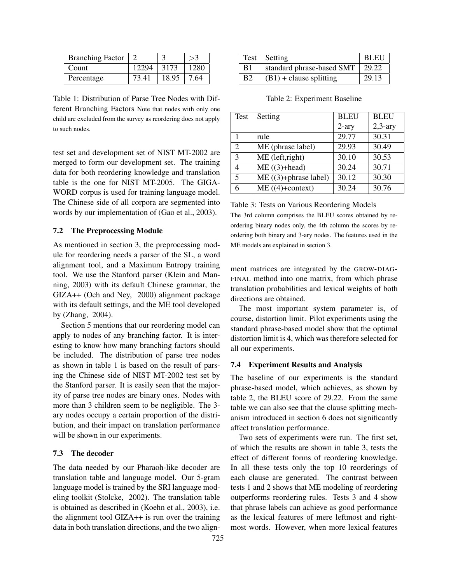| <b>Branching Factor</b> |                |       |       |
|-------------------------|----------------|-------|-------|
| Count                   | $12294$   3173 |       | 1280  |
| Percentage              | 73.41          | 18.95 | 17.64 |

Table 1: Distribution of Parse Tree Nodes with Different Branching Factors Note that nodes with only one child are excluded from the survey as reordering does not apply to such nodes.

test set and development set of NIST MT-2002 are merged to form our development set. The training data for both reordering knowledge and translation table is the one for NIST MT-2005. The GIGA-WORD corpus is used for training language model. The Chinese side of all corpora are segmented into words by our implementation of (Gao et al., 2003).

### 7.2 The Preprocessing Module

As mentioned in section 3, the preprocessing module for reordering needs a parser of the SL, a word alignment tool, and a Maximum Entropy training tool. We use the Stanford parser (Klein and Manning, 2003) with its default Chinese grammar, the GIZA++ (Och and Ney, 2000) alignment package with its default settings, and the ME tool developed by (Zhang, 2004).

Section 5 mentions that our reordering model can apply to nodes of any branching factor. It is interesting to know how many branching factors should be included. The distribution of parse tree nodes as shown in table 1 is based on the result of parsing the Chinese side of NIST MT-2002 test set by the Stanford parser. It is easily seen that the majority of parse tree nodes are binary ones. Nodes with more than 3 children seem to be negligible. The 3 ary nodes occupy a certain proportion of the distribution, and their impact on translation performance will be shown in our experiments.

### 7.3 The decoder

The data needed by our Pharaoh-like decoder are translation table and language model. Our 5-gram language model is trained by the SRI language modeling toolkit (Stolcke, 2002). The translation table is obtained as described in (Koehn et al., 2003), i.e. the alignment tool GIZA++ is run over the training data in both translation directions, and the two align-

|                | Test   Setting            | BLEU    |
|----------------|---------------------------|---------|
| B <sub>1</sub> | standard phrase-based SMT | $29.22$ |
| B <sub>2</sub> | $(B1)$ + clause splitting | 29.13   |

| Test           | Setting                 | <b>BLEU</b> | <b>BLEU</b> |
|----------------|-------------------------|-------------|-------------|
|                |                         | $2-ary$     | $2,3$ -ary  |
|                | rule                    | 29.77       | 30.31       |
| $\overline{2}$ | ME (phrase label)       | 29.93       | 30.49       |
| 3              | ME (left,right)         | 30.10       | 30.53       |
| 4              | $ME ((3)+head)$         | 30.24       | 30.71       |
| 5              | $ME$ ((3)+phrase label) | 30.12       | 30.30       |
| 6              | $ME ((4)+context)$      | 30.24       | 30.76       |

Table 2: Experiment Baseline

Table 3: Tests on Various Reordering Models

The 3rd column comprises the BLEU scores obtained by reordering binary nodes only, the 4th column the scores by reordering both binary and 3-ary nodes. The features used in the ME models are explained in section 3.

ment matrices are integrated by the GROW-DIAG-FINAL method into one matrix, from which phrase translation probabilities and lexical weights of both directions are obtained.

The most important system parameter is, of course, distortion limit. Pilot experiments using the standard phrase-based model show that the optimal distortion limit is 4, which was therefore selected for all our experiments.

#### 7.4 Experiment Results and Analysis

The baseline of our experiments is the standard phrase-based model, which achieves, as shown by table 2, the BLEU score of 29.22. From the same table we can also see that the clause splitting mechanism introduced in section 6 does not significantly affect translation performance.

Two sets of experiments were run. The first set, of which the results are shown in table 3, tests the effect of different forms of reordering knowledge. In all these tests only the top 10 reorderings of each clause are generated. The contrast between tests 1 and 2 shows that ME modeling of reordering outperforms reordering rules. Tests 3 and 4 show that phrase labels can achieve as good performance as the lexical features of mere leftmost and rightmost words. However, when more lexical features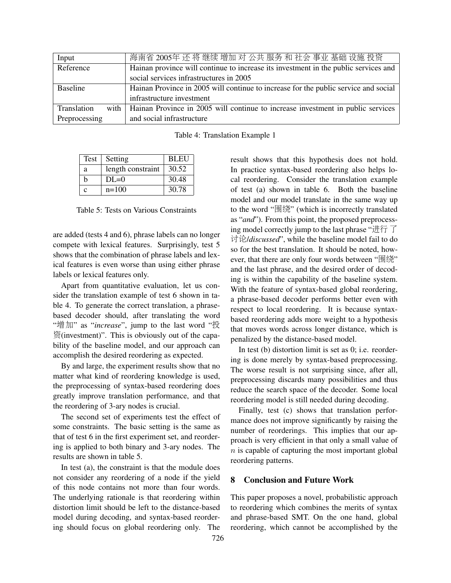| Input               | 海南省 2005年 还 将 继续 增加 对 公共 服务 和 社会 事业 基础 设施 投资                                        |
|---------------------|-------------------------------------------------------------------------------------|
| Reference           | Hainan province will continue to increase its investment in the public services and |
|                     | social services infrastructures in 2005                                             |
| <b>Baseline</b>     | Hainan Province in 2005 will continue to increase for the public service and social |
|                     | infrastructure investment                                                           |
| Translation<br>with | Hainan Province in 2005 will continue to increase investment in public services     |
| Preprocessing       | and social infrastructure                                                           |

|  | Table 4: Translation Example 1 |  |  |
|--|--------------------------------|--|--|
|--|--------------------------------|--|--|

| Test        | Setting           | <b>BLEU</b> |
|-------------|-------------------|-------------|
| a           | length constraint | 30.52       |
| h           | $DI = 0$          | 30.48       |
| $\mathbf c$ | $n=100$           | 30.78       |

Table 5: Tests on Various Constraints

are added (tests 4 and 6), phrase labels can no longer compete with lexical features. Surprisingly, test 5 shows that the combination of phrase labels and lexical features is even worse than using either phrase labels or lexical features only.

Apart from quantitative evaluation, let us consider the translation example of test 6 shown in table 4. To generate the correct translation, a phrasebased decoder should, after translating the word "增加" as "*increase*", jump to the last word "投 资(investment)". This is obviously out of the capability of the baseline model, and our approach can accomplish the desired reordering as expected.

By and large, the experiment results show that no matter what kind of reordering knowledge is used, the preprocessing of syntax-based reordering does greatly improve translation performance, and that the reordering of 3-ary nodes is crucial.

The second set of experiments test the effect of some constraints. The basic setting is the same as that of test 6 in the first experiment set, and reordering is applied to both binary and 3-ary nodes. The results are shown in table 5.

In test (a), the constraint is that the module does not consider any reordering of a node if the yield of this node contains not more than four words. The underlying rationale is that reordering within distortion limit should be left to the distance-based model during decoding, and syntax-based reordering should focus on global reordering only. The result shows that this hypothesis does not hold. In practice syntax-based reordering also helps local reordering. Consider the translation example of test (a) shown in table 6. Both the baseline model and our model translate in the same way up to the word "围绕" (which is incorrectly translated as "*and*"). From this point, the proposed preprocessing model correctly jump to the last phrase " $\sharp \hat{\tau}$   $\bar{\tau}$ ÿX/*discussed*", while the baseline model fail to do so for the best translation. It should be noted, however, that there are only four words between "围绕" and the last phrase, and the desired order of decoding is within the capability of the baseline system. With the feature of syntax-based global reordering, a phrase-based decoder performs better even with respect to local reordering. It is because syntaxbased reordering adds more weight to a hypothesis that moves words across longer distance, which is penalized by the distance-based model.

In test (b) distortion limit is set as 0; i.e. reordering is done merely by syntax-based preprocessing. The worse result is not surprising since, after all, preprocessing discards many possibilities and thus reduce the search space of the decoder. Some local reordering model is still needed during decoding.

Finally, test (c) shows that translation performance does not improve significantly by raising the number of reorderings. This implies that our approach is very efficient in that only a small value of  $n$  is capable of capturing the most important global reordering patterns.

# 8 Conclusion and Future Work

This paper proposes a novel, probabilistic approach to reordering which combines the merits of syntax and phrase-based SMT. On the one hand, global reordering, which cannot be accomplished by the